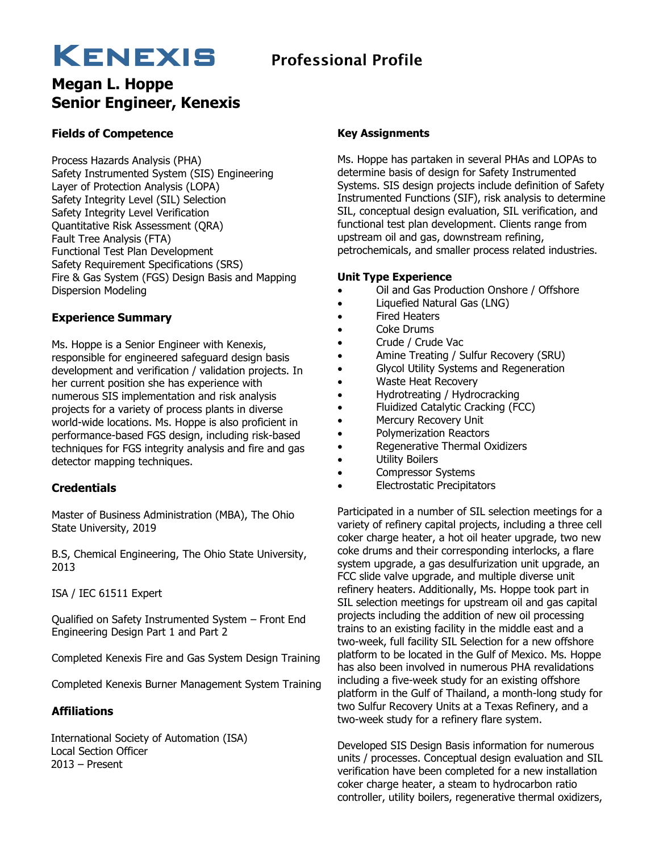### KENEXIS Professional Profile

# **Megan L. Hoppe**

### **Senior Engineer, Kenexis**

#### **Fields of Competence**

Process Hazards Analysis (PHA) Safety Instrumented System (SIS) Engineering Layer of Protection Analysis (LOPA) Safety Integrity Level (SIL) Selection Safety Integrity Level Verification Quantitative Risk Assessment (QRA) Fault Tree Analysis (FTA) Functional Test Plan Development Safety Requirement Specifications (SRS) Fire & Gas System (FGS) Design Basis and Mapping Dispersion Modeling

#### **Experience Summary**

Ms. Hoppe is a Senior Engineer with Kenexis, responsible for engineered safeguard design basis development and verification / validation projects. In her current position she has experience with numerous SIS implementation and risk analysis projects for a variety of process plants in diverse world-wide locations. Ms. Hoppe is also proficient in performance-based FGS design, including risk-based techniques for FGS integrity analysis and fire and gas detector mapping techniques.

#### **Credentials**

Master of Business Administration (MBA), The Ohio State University, 2019

B.S, Chemical Engineering, The Ohio State University, 2013

ISA / IEC 61511 Expert

Qualified on Safety Instrumented System – Front End Engineering Design Part 1 and Part 2

Completed Kenexis Fire and Gas System Design Training

Completed Kenexis Burner Management System Training

#### **Affiliations**

International Society of Automation (ISA) Local Section Officer 2013 – Present

#### **Key Assignments**

Ms. Hoppe has partaken in several PHAs and LOPAs to determine basis of design for Safety Instrumented Systems. SIS design projects include definition of Safety Instrumented Functions (SIF), risk analysis to determine SIL, conceptual design evaluation, SIL verification, and functional test plan development. Clients range from upstream oil and gas, downstream refining, petrochemicals, and smaller process related industries.

#### **Unit Type Experience**

- Oil and Gas Production Onshore / Offshore
- Liquefied Natural Gas (LNG)
- Fired Heaters
- Coke Drums
- Crude / Crude Vac
- Amine Treating / Sulfur Recovery (SRU)
- Glycol Utility Systems and Regeneration
- Waste Heat Recovery
- Hydrotreating / Hydrocracking
- Fluidized Catalytic Cracking (FCC)
- Mercury Recovery Unit
- Polymerization Reactors
- Regenerative Thermal Oxidizers
- Utility Boilers
- Compressor Systems
- Electrostatic Precipitators

Participated in a number of SIL selection meetings for a variety of refinery capital projects, including a three cell coker charge heater, a hot oil heater upgrade, two new coke drums and their corresponding interlocks, a flare system upgrade, a gas desulfurization unit upgrade, an FCC slide valve upgrade, and multiple diverse unit refinery heaters. Additionally, Ms. Hoppe took part in SIL selection meetings for upstream oil and gas capital projects including the addition of new oil processing trains to an existing facility in the middle east and a two-week, full facility SIL Selection for a new offshore platform to be located in the Gulf of Mexico. Ms. Hoppe has also been involved in numerous PHA revalidations including a five-week study for an existing offshore platform in the Gulf of Thailand, a month-long study for two Sulfur Recovery Units at a Texas Refinery, and a two-week study for a refinery flare system.

Developed SIS Design Basis information for numerous units / processes. Conceptual design evaluation and SIL verification have been completed for a new installation coker charge heater, a steam to hydrocarbon ratio controller, utility boilers, regenerative thermal oxidizers,